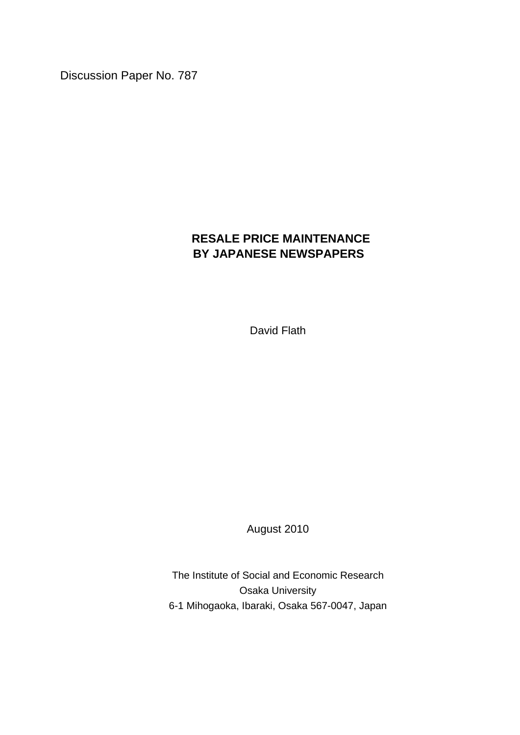Discussion Paper No. 787

## **RESALE PRICE MAINTENANCE BY JAPANESE NEWSPAPERS**

David Flath

August 2010

The Institute of Social and Economic Research Osaka University 6-1 Mihogaoka, Ibaraki, Osaka 567-0047, Japan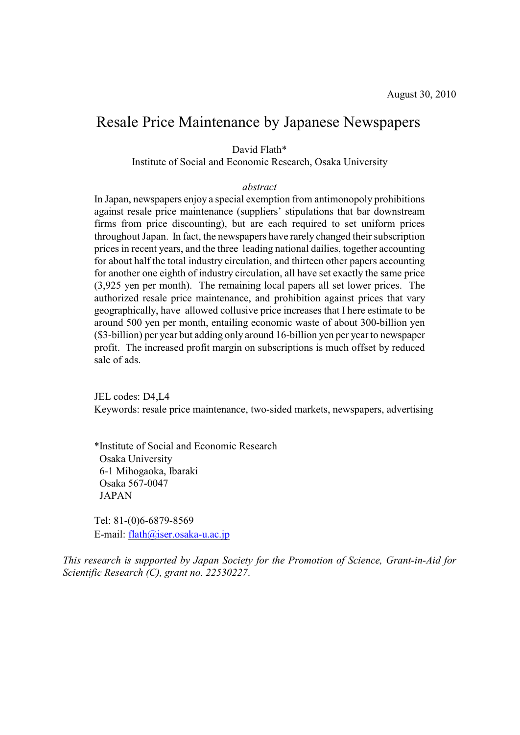# Resale Price Maintenance by Japanese Newspapers

David Flath\*

Institute of Social and Economic Research, Osaka University

## *abstract*

In Japan, newspapers enjoy a special exemption from antimonopoly prohibitions against resale price maintenance (suppliers' stipulations that bar downstream firms from price discounting), but are each required to set uniform prices throughout Japan. In fact, the newspapers have rarely changed their subscription prices in recent years, and the three leading national dailies, together accounting for about half the total industry circulation, and thirteen other papers accounting for another one eighth of industry circulation, all have set exactly the same price (3,925 yen per month). The remaining local papers all set lower prices. The authorized resale price maintenance, and prohibition against prices that vary geographically, have allowed collusive price increases that I here estimate to be around 500 yen per month, entailing economic waste of about 300-billion yen (\$3-billion) per year but adding only around 16-billion yen per year to newspaper profit. The increased profit margin on subscriptions is much offset by reduced sale of ads.

 JEL codes: D4,L4 Keywords: resale price maintenance, two-sided markets, newspapers, advertising

\*Institute of Social and Economic Research Osaka University 6-1 Mihogaoka, Ibaraki Osaka 567-0047 JAPAN

Tel: 81-(0)6-6879-8569 E-mail: [flath@iser.osaka-u.ac.jp](mailto:david_flath@ncsu.edu)

*This research is supported by Japan Society for the Promotion of Science, Grant-in-Aid for Scientific Research (C), grant no. 22530227*.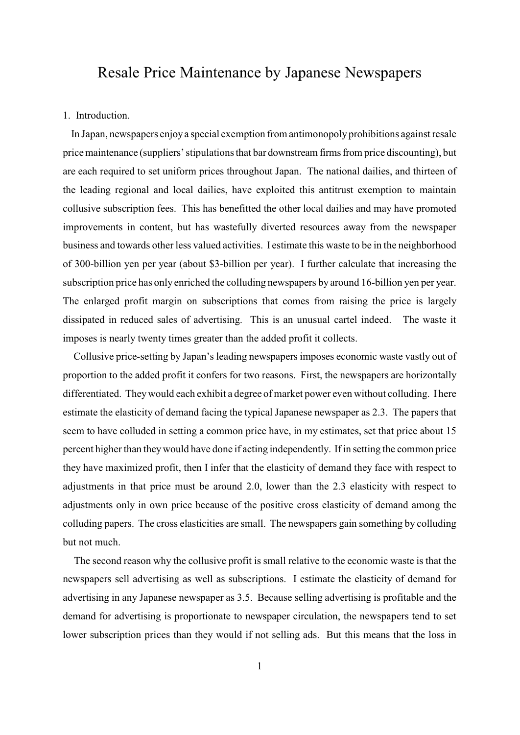## Resale Price Maintenance by Japanese Newspapers

## 1. Introduction.

 In Japan, newspapers enjoya special exemption from antimonopoly prohibitions against resale price maintenance (suppliers' stipulations that bar downstream firms from price discounting), but are each required to set uniform prices throughout Japan. The national dailies, and thirteen of the leading regional and local dailies, have exploited this antitrust exemption to maintain collusive subscription fees. This has benefitted the other local dailies and may have promoted improvements in content, but has wastefully diverted resources away from the newspaper business and towards other less valued activities. I estimate this waste to be in the neighborhood of 300-billion yen per year (about \$3-billion per year). I further calculate that increasing the subscription price has only enriched the colluding newspapers by around 16-billion yen per year. The enlarged profit margin on subscriptions that comes from raising the price is largely dissipated in reduced sales of advertising. This is an unusual cartel indeed. The waste it imposes is nearly twenty times greater than the added profit it collects.

 Collusive price-setting by Japan's leading newspapers imposes economic waste vastly out of proportion to the added profit it confers for two reasons. First, the newspapers are horizontally differentiated. They would each exhibit a degree of market power even without colluding. I here estimate the elasticity of demand facing the typical Japanese newspaper as 2.3. The papers that seem to have colluded in setting a common price have, in my estimates, set that price about 15 percent higher than they would have done if acting independently. If in setting the common price they have maximized profit, then I infer that the elasticity of demand they face with respect to adjustments in that price must be around 2.0, lower than the 2.3 elasticity with respect to adjustments only in own price because of the positive cross elasticity of demand among the colluding papers. The cross elasticities are small. The newspapers gain something by colluding but not much.

 The second reason why the collusive profit is small relative to the economic waste is that the newspapers sell advertising as well as subscriptions. I estimate the elasticity of demand for advertising in any Japanese newspaper as 3.5. Because selling advertising is profitable and the demand for advertising is proportionate to newspaper circulation, the newspapers tend to set lower subscription prices than they would if not selling ads. But this means that the loss in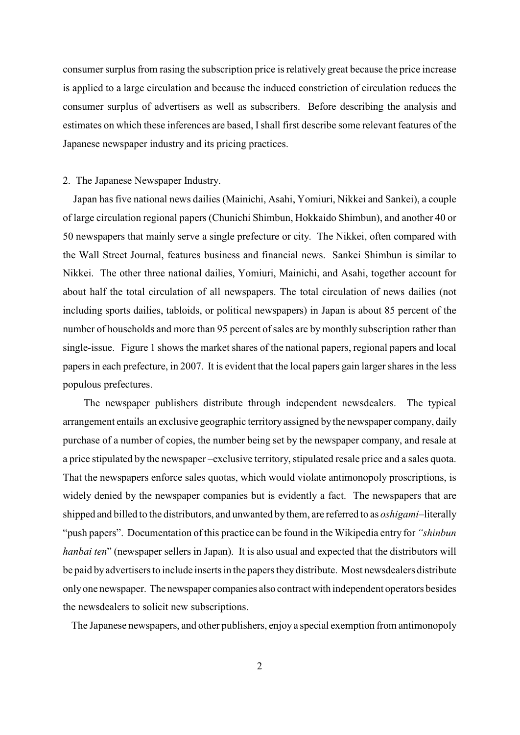consumer surplus from rasing the subscription price is relatively great because the price increase is applied to a large circulation and because the induced constriction of circulation reduces the consumer surplus of advertisers as well as subscribers. Before describing the analysis and estimates on which these inferences are based, I shall first describe some relevant features of the Japanese newspaper industry and its pricing practices.

## 2. The Japanese Newspaper Industry.

 Japan has five national news dailies (Mainichi, Asahi, Yomiuri, Nikkei and Sankei), a couple of large circulation regional papers (Chunichi Shimbun, Hokkaido Shimbun), and another 40 or 50 newspapers that mainly serve a single prefecture or city. The Nikkei, often compared with the Wall Street Journal, features business and financial news. Sankei Shimbun is similar to Nikkei. The other three national dailies, Yomiuri, Mainichi, and Asahi, together account for about half the total circulation of all newspapers. The total circulation of news dailies (not including sports dailies, tabloids, or political newspapers) in Japan is about 85 percent of the number of households and more than 95 percent of sales are by monthly subscription rather than single-issue. Figure 1 shows the market shares of the national papers, regional papers and local papers in each prefecture, in 2007. It is evident that the local papers gain larger shares in the less populous prefectures.

 The newspaper publishers distribute through independent newsdealers. The typical arrangement entails an exclusive geographic territory assigned by the newspaper company, daily purchase of a number of copies, the number being set by the newspaper company, and resale at a price stipulated by the newspaper –exclusive territory, stipulated resale price and a sales quota. That the newspapers enforce sales quotas, which would violate antimonopoly proscriptions, is widely denied by the newspaper companies but is evidently a fact. The newspapers that are shipped and billed to the distributors, and unwanted by them, are referred to as *oshigami*–literally "push papers". Documentation of this practice can be found in the Wikipedia entry for *"shinbun hanbai ten*" (newspaper sellers in Japan). It is also usual and expected that the distributors will be paid by advertisers to include inserts in the papersthey distribute. Most newsdealers distribute only one newspaper. The newspaper companies also contract with independent operators besides the newsdealers to solicit new subscriptions.

The Japanese newspapers, and other publishers, enjoy a special exemption from antimonopoly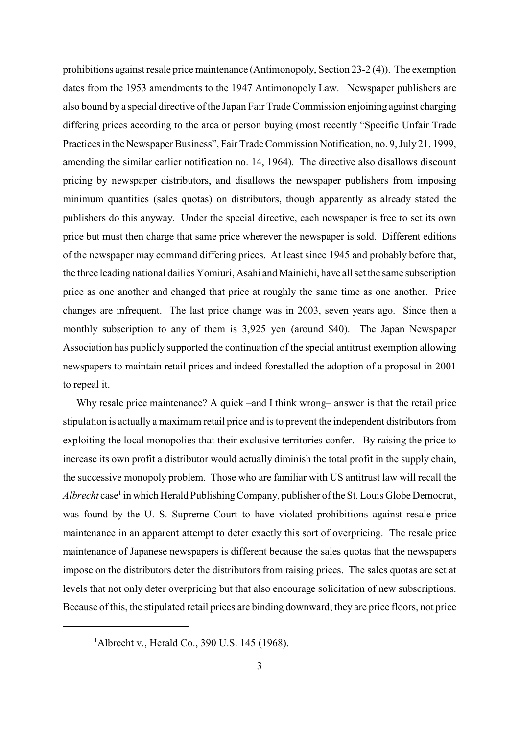prohibitions against resale price maintenance (Antimonopoly, Section 23-2 (4)). The exemption dates from the 1953 amendments to the 1947 Antimonopoly Law. Newspaper publishers are also bound by a special directive of the Japan Fair Trade Commission enjoining against charging differing prices according to the area or person buying (most recently "Specific Unfair Trade Practices in the Newspaper Business", Fair Trade Commission Notification, no. 9, July 21, 1999, amending the similar earlier notification no. 14, 1964). The directive also disallows discount pricing by newspaper distributors, and disallows the newspaper publishers from imposing minimum quantities (sales quotas) on distributors, though apparently as already stated the publishers do this anyway. Under the special directive, each newspaper is free to set its own price but must then charge that same price wherever the newspaper is sold. Different editions of the newspaper may command differing prices. At least since 1945 and probably before that, the three leading national dailies Yomiuri, Asahi and Mainichi, have all set the same subscription price as one another and changed that price at roughly the same time as one another. Price changes are infrequent. The last price change was in 2003, seven years ago. Since then a monthly subscription to any of them is 3,925 yen (around \$40). The Japan Newspaper Association has publicly supported the continuation of the special antitrust exemption allowing newspapers to maintain retail prices and indeed forestalled the adoption of a proposal in 2001 to repeal it.

Why resale price maintenance? A quick –and I think wrong– answer is that the retail price stipulation is actually a maximum retail price and is to prevent the independent distributors from exploiting the local monopolies that their exclusive territories confer. By raising the price to increase its own profit a distributor would actually diminish the total profit in the supply chain, the successive monopoly problem. Those who are familiar with US antitrust law will recall the *Albrecht* case<sup>1</sup> in which Herald Publishing Company, publisher of the St. Louis Globe Democrat, was found by the U. S. Supreme Court to have violated prohibitions against resale price maintenance in an apparent attempt to deter exactly this sort of overpricing. The resale price maintenance of Japanese newspapers is different because the sales quotas that the newspapers impose on the distributors deter the distributors from raising prices. The sales quotas are set at levels that not only deter overpricing but that also encourage solicitation of new subscriptions. Because of this, the stipulated retail prices are binding downward; they are price floors, not price

<sup>&</sup>lt;sup>1</sup>Albrecht v., Herald Co., 390 U.S. 145 (1968).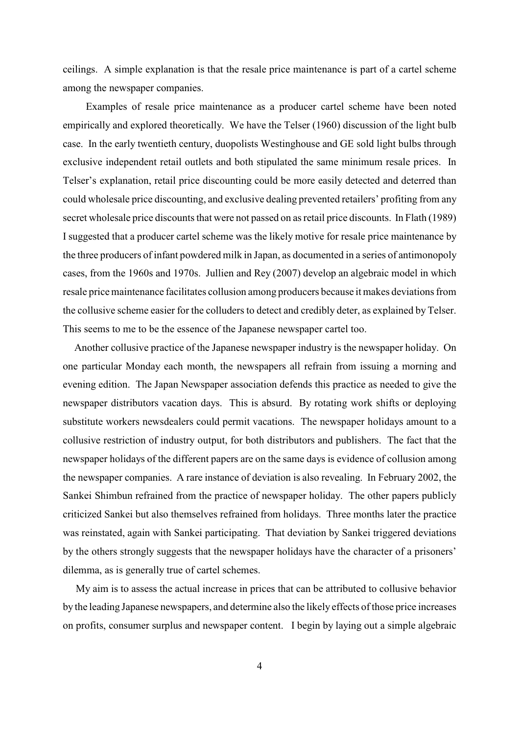ceilings. A simple explanation is that the resale price maintenance is part of a cartel scheme among the newspaper companies.

 Examples of resale price maintenance as a producer cartel scheme have been noted empirically and explored theoretically. We have the Telser (1960) discussion of the light bulb case. In the early twentieth century, duopolists Westinghouse and GE sold light bulbs through exclusive independent retail outlets and both stipulated the same minimum resale prices. In Telser's explanation, retail price discounting could be more easily detected and deterred than could wholesale price discounting, and exclusive dealing prevented retailers' profiting from any secret wholesale price discounts that were not passed on as retail price discounts. In Flath (1989) I suggested that a producer cartel scheme was the likely motive for resale price maintenance by the three producers of infant powdered milk in Japan, as documented in a series of antimonopoly cases, from the 1960s and 1970s. Jullien and Rey (2007) develop an algebraic model in which resale price maintenance facilitates collusion among producers because it makes deviations from the collusive scheme easier for the colluders to detect and credibly deter, as explained by Telser. This seems to me to be the essence of the Japanese newspaper cartel too.

 Another collusive practice of the Japanese newspaper industry is the newspaper holiday. On one particular Monday each month, the newspapers all refrain from issuing a morning and evening edition. The Japan Newspaper association defends this practice as needed to give the newspaper distributors vacation days. This is absurd. By rotating work shifts or deploying substitute workers newsdealers could permit vacations. The newspaper holidays amount to a collusive restriction of industry output, for both distributors and publishers. The fact that the newspaper holidays of the different papers are on the same days is evidence of collusion among the newspaper companies. A rare instance of deviation is also revealing. In February 2002, the Sankei Shimbun refrained from the practice of newspaper holiday. The other papers publicly criticized Sankei but also themselves refrained from holidays. Three months later the practice was reinstated, again with Sankei participating. That deviation by Sankei triggered deviations by the others strongly suggests that the newspaper holidays have the character of a prisoners' dilemma, as is generally true of cartel schemes.

 My aim is to assess the actual increase in prices that can be attributed to collusive behavior by the leading Japanese newspapers, and determine also the likely effects of those price increases on profits, consumer surplus and newspaper content. I begin by laying out a simple algebraic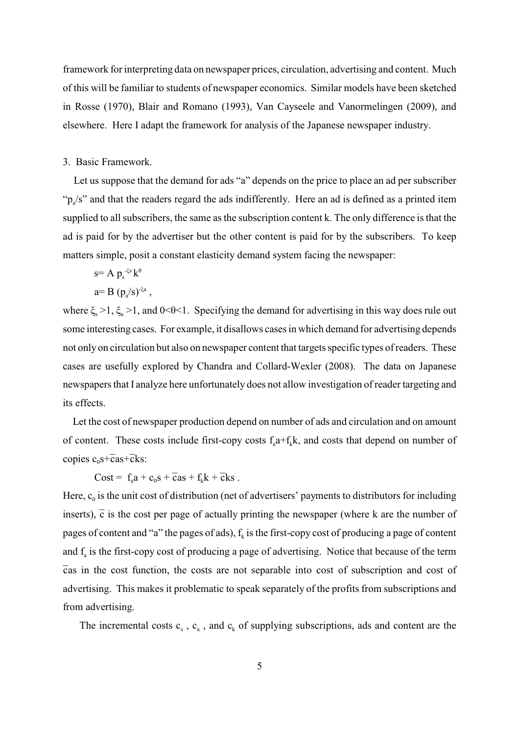framework for interpreting data on newspaper prices, circulation, advertising and content. Much of this will be familiar to students of newspaper economics. Similar models have been sketched in Rosse (1970), Blair and Romano (1993), Van Cayseele and Vanormelingen (2009), and elsewhere. Here I adapt the framework for analysis of the Japanese newspaper industry.

## 3. Basic Framework.

Let us suppose that the demand for ads "a" depends on the price to place an ad per subscriber " $p_a$ 's" and that the readers regard the ads indifferently. Here an ad is defined as a printed item supplied to all subscribers, the same as the subscription content k. The only difference is that the ad is paid for by the advertiser but the other content is paid for by the subscribers. To keep matters simple, posit a constant elasticity demand system facing the newspaper:

$$
s = A p_s^{-\xi s} k^{\theta}
$$

$$
a = B (p_a/s)^{-\xi a} ,
$$

where  $\xi_s > 1$ ,  $\xi_a > 1$ , and 0<0 <1. Specifying the demand for advertising in this way does rule out some interesting cases. For example, it disallows cases in which demand for advertising depends not only on circulation but also on newspaper content that targets specific types of readers. These cases are usefully explored by Chandra and Collard-Wexler (2008). The data on Japanese newspapers that I analyze here unfortunately does not allow investigation of reader targeting and its effects.

 Let the cost of newspaper production depend on number of ads and circulation and on amount of content. These costs include first-copy costs  $f_a^2+f_b^2k$ , and costs that depend on number of copies  $c_0s+\overline{c}as+\overline{c}ks$ :

 $\text{Cost} = \text{ f}_{\text{a}}\text{a} + \text{c}_{\text{o}}\text{s} + \overline{\text{c}}\text{as} + \text{f}_{\text{k}}\text{k} + \overline{\text{c}}\text{ks}.$ 

Here,  $c_0$  is the unit cost of distribution (net of advertisers' payments to distributors for including inserts),  $\overline{c}$  is the cost per page of actually printing the newspaper (where k are the number of pages of content and "a" the pages of ads),  $f_k$  is the first-copy cost of producing a page of content and  $f_a$  is the first-copy cost of producing a page of advertising. Notice that because of the term ¯cas in the cost function, the costs are not separable into cost of subscription and cost of advertising. This makes it problematic to speak separately of the profits from subscriptions and from advertising.

The incremental costs  $c_s$ ,  $c_a$ , and  $c_k$  of supplying subscriptions, ads and content are the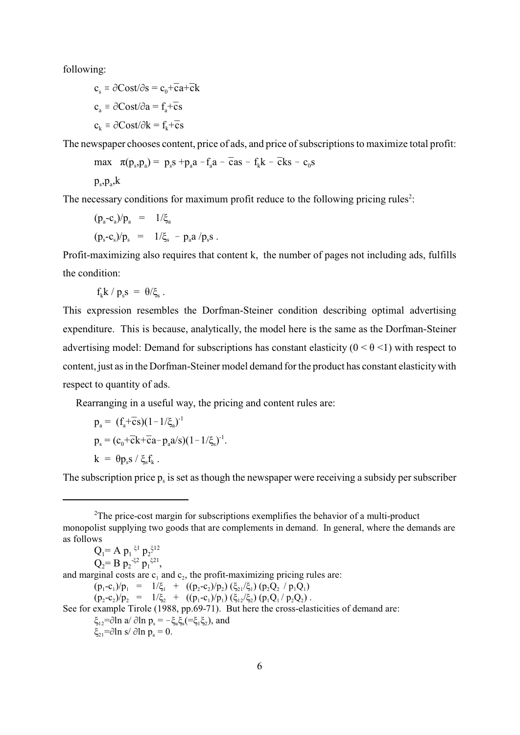following:

$$
c_s \equiv \partial \text{Cost}/\partial s = c_0 + \overline{c}a + \overline{c}k
$$

$$
c_a \equiv \partial \text{Cost}/\partial a = f_a + \overline{c}s
$$

$$
c_k \equiv \partial \text{Cost}/\partial k = f_k + \overline{c}s
$$

The newspaper chooses content, price of ads, and price of subscriptions to maximize total profit:

$$
\max \ \pi(p_s, p_a) = p_s s + p_a a - f_a a - \overline{c}as - f_k k - \overline{c}ks - c_0 s
$$

$$
\rm p_{\rm s},\rm p_{\rm a},\rm k
$$

The necessary conditions for maximum profit reduce to the following pricing rules<sup>2</sup>:

$$
\begin{array}{rcl}\n(p_a - c_a)/p_a & = & 1/\xi_a \\
(p_s - c_s)/p_s & = & 1/\xi_s - p_a a / p_s s \,.\n\end{array}
$$

Profit-maximizing also requires that content k, the number of pages not including ads, fulfills the condition:

$$
f_k k \mathbin{/} p_s s \; = \; \theta/\xi_s \; .
$$

This expression resembles the Dorfman-Steiner condition describing optimal advertising expenditure. This is because, analytically, the model here is the same as the Dorfman-Steiner advertising model: Demand for subscriptions has constant elasticity  $(0 \le \theta \le 1)$  with respect to content, just as in the Dorfman-Steiner model demand for the product has constant elasticity with respect to quantity of ads.

Rearranging in a useful way, the pricing and content rules are:

$$
p_{a} = (f_{a} + \overline{c}s)(1 - 1/\xi_{a})^{-1}
$$
  
\n
$$
p_{s} = (c_{0} + \overline{c}k + \overline{c}a - p_{a}a/s)(1 - 1/\xi_{s})^{-1}.
$$
  
\n
$$
k = \theta p_{s}s / \xi_{s}f_{k}.
$$

The subscription price  $p_s$  is set as though the newspaper were receiving a subsidy per subscriber

```
Q_1 = A p_1^{\xi_1} p_2^{\xi_1}Q_2 = B p_2^{-\xi_2} p_1^{-\xi_2}and marginal costs are c_1 and c_2, the profit-maximizing pricing rules are:
           (p_1 - c_1)/p_1 = 1/\xi_1 + ((p_2 - c_2)/p_2) (\xi_{21}/\xi_1) (p_2 Q_2 / p_1 Q_1)(p_2 - c_2)/p_2 = 1/\xi_2 + ((p_1 - c_1)/p_1)(\xi_{12}/\xi_2)(p_1Q_1/p_2Q_2).See for example Tirole (1988, pp.69-71). But here the cross-elasticities of demand are: 
           \xi_{12}=\partial \ln a / \partial \ln p_s = -\xi_a \xi_s (= \xi_1 \xi_2), and
           \xi_{21}=\partial \ln s / \partial \ln p_a = 0.
```
 $2$ The price-cost margin for subscriptions exemplifies the behavior of a multi-product monopolist supplying two goods that are complements in demand. In general, where the demands are as follows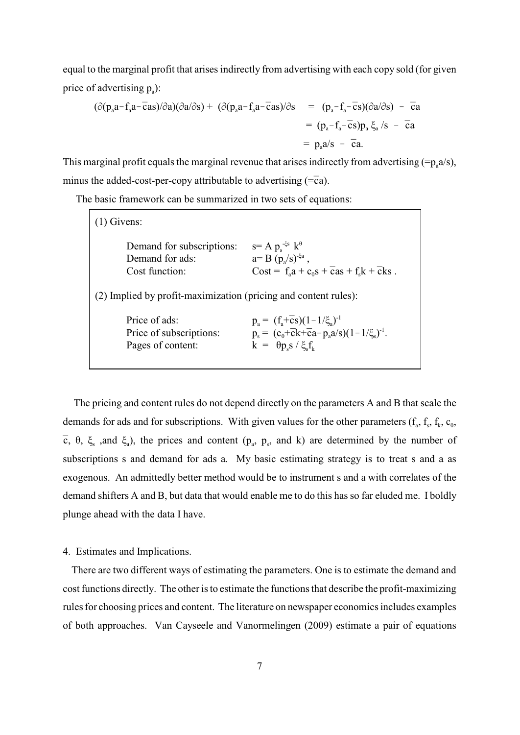equal to the marginal profit that arises indirectly from advertising with each copy sold (for given price of advertising  $p_a$ ):

$$
(\partial (p_a a - f_a a - \overline{c}as)/\partial a)(\partial a/\partial s) + (\partial (p_a a - f_a a - \overline{c}as)/\partial s) = (p_a - f_a - \overline{c}s)(\partial a/\partial s) - \overline{c}a
$$
  

$$
= (p_a - f_a - \overline{c}s)p_a \xi_a / s - \overline{c}a
$$
  

$$
= p_a a/s - \overline{c}a.
$$

This marginal profit equals the marginal revenue that arises indirectly from advertising  $(=p_a a/s)$ , minus the added-cost-per-copy attributable to advertising  $(=\bar{c}a)$ .

The basic framework can be summarized in two sets of equations:

| Givens:                                                         |                                                                                                        |
|-----------------------------------------------------------------|--------------------------------------------------------------------------------------------------------|
| Demand for subscriptions:                                       | $s = A p_s^{-\xi s} k^{\theta}$                                                                        |
| Demand for ads:                                                 | $a= B (p_s/s)^{-\xi a}$ ,                                                                              |
| Cost function:                                                  | $\text{Cost} = f_a a + c_0 s + \overline{\text{c}} \text{as} + f_s k + \overline{\text{c}} \text{ks}.$ |
| (2) Implied by profit-maximization (pricing and content rules): |                                                                                                        |
| Price of ads:                                                   | $p_a = (f_a + \overline{c}s)(1 - 1/\xi_a)^{-1}$                                                        |
| Price of subscriptions:                                         | $p_s = (c_0 + \overline{c}k + \overline{c}a - p_a a/s)(1 - 1/\xi_s)^{-1}$ .                            |
| Pages of content:                                               | $k = \theta p_s s / \xi_s f_k$                                                                         |

 The pricing and content rules do not depend directly on the parameters A and B that scale the demands for ads and for subscriptions. With given values for the other parameters  $(f_a, f_s, f_k, c_0,$  $\overline{c}$ ,  $\theta$ ,  $\xi$ ,  $\xi$ , and  $\xi$ <sub>a</sub>), the prices and content (p<sub>a</sub>, p<sub>s</sub>, and k) are determined by the number of subscriptions s and demand for ads a. My basic estimating strategy is to treat s and a as exogenous. An admittedly better method would be to instrument s and a with correlates of the demand shifters A and B, but data that would enable me to do this has so far eluded me. I boldly plunge ahead with the data I have.

## 4. Estimates and Implications.

 There are two different ways of estimating the parameters. One is to estimate the demand and cost functions directly. The other is to estimate the functions that describe the profit-maximizing rules for choosing prices and content. The literature on newspaper economics includes examples of both approaches. Van Cayseele and Vanormelingen (2009) estimate a pair of equations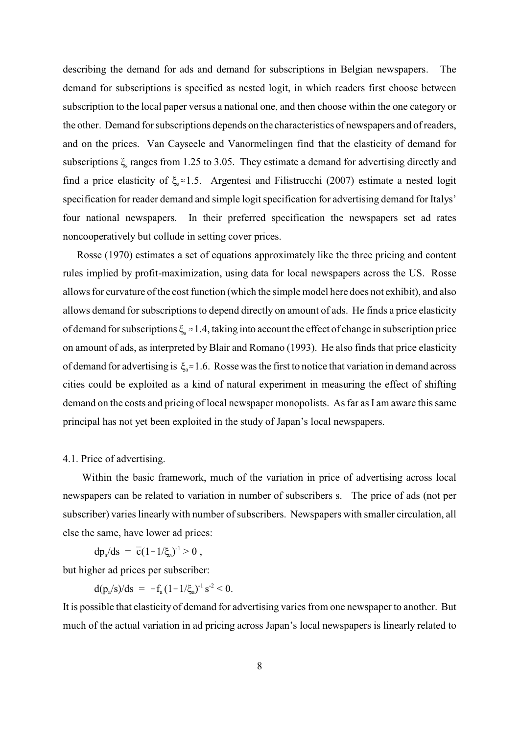describing the demand for ads and demand for subscriptions in Belgian newspapers. The demand for subscriptions is specified as nested logit, in which readers first choose between subscription to the local paper versus a national one, and then choose within the one category or the other. Demand for subscriptions depends on the characteristics of newspapers and of readers, and on the prices. Van Cayseele and Vanormelingen find that the elasticity of demand for subscriptions  $\xi$  ranges from 1.25 to 3.05. They estimate a demand for advertising directly and find a price elasticity of  $\xi_a \approx 1.5$ . Argentesi and Filistrucchi (2007) estimate a nested logit specification for reader demand and simple logit specification for advertising demand for Italys' four national newspapers. In their preferred specification the newspapers set ad rates noncooperatively but collude in setting cover prices.

 Rosse (1970) estimates a set of equations approximately like the three pricing and content rules implied by profit-maximization, using data for local newspapers across the US. Rosse allows for curvature of the cost function (which the simple model here does not exhibit), and also allows demand for subscriptions to depend directly on amount of ads. He finds a price elasticity of demand for subscriptions  $\xi_s \approx 1.4$ , taking into account the effect of change in subscription price on amount of ads, as interpreted byBlair and Romano (1993). He also finds that price elasticity of demand for advertising is  $\xi_a \approx 1.6$ . Rosse was the first to notice that variation in demand across cities could be exploited as a kind of natural experiment in measuring the effect of shifting demand on the costs and pricing of local newspaper monopolists. As far as I am aware this same principal has not yet been exploited in the study of Japan's local newspapers.

## 4.1. Price of advertising.

 Within the basic framework, much of the variation in price of advertising across local newspapers can be related to variation in number of subscribers s. The price of ads (not per subscriber) varies linearly with number of subscribers. Newspapers with smaller circulation, all else the same, have lower ad prices:

 $dp_0/ds = \overline{c}(1-1/\xi_0)^{-1} > 0$ ,

but higher ad prices per subscriber:

 $d(p_a/s)/ds = -f_a (1-1/\xi_a)^{-1} s^{-2} < 0.$ 

It is possible that elasticity of demand for advertising varies from one newspaper to another. But much of the actual variation in ad pricing across Japan's local newspapers is linearly related to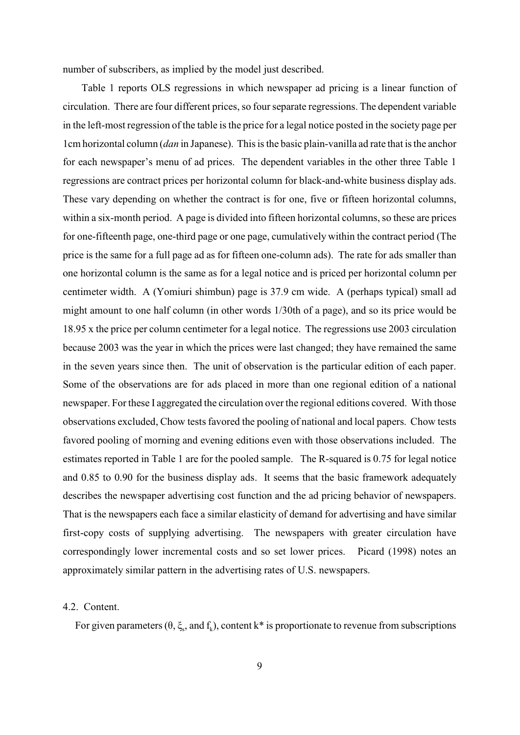number of subscribers, as implied by the model just described.

 Table 1 reports OLS regressions in which newspaper ad pricing is a linear function of circulation. There are four different prices, so four separate regressions. The dependent variable in the left-most regression of the table is the price for a legal notice posted in the society page per 1cm horizontal column (*dan* in Japanese). This is the basic plain-vanilla ad rate that is the anchor for each newspaper's menu of ad prices. The dependent variables in the other three Table 1 regressions are contract prices per horizontal column for black-and-white business display ads. These vary depending on whether the contract is for one, five or fifteen horizontal columns, within a six-month period. A page is divided into fifteen horizontal columns, so these are prices for one-fifteenth page, one-third page or one page, cumulatively within the contract period (The price is the same for a full page ad as for fifteen one-column ads). The rate for ads smaller than one horizontal column is the same as for a legal notice and is priced per horizontal column per centimeter width. A (Yomiuri shimbun) page is 37.9 cm wide. A (perhaps typical) small ad might amount to one half column (in other words 1/30th of a page), and so its price would be 18.95 x the price per column centimeter for a legal notice. The regressions use 2003 circulation because 2003 was the year in which the prices were last changed; they have remained the same in the seven years since then. The unit of observation is the particular edition of each paper. Some of the observations are for ads placed in more than one regional edition of a national newspaper. For these I aggregated the circulation over the regional editions covered. With those observations excluded, Chow tests favored the pooling of national and local papers. Chow tests favored pooling of morning and evening editions even with those observations included. The estimates reported in Table 1 are for the pooled sample. The R-squared is 0.75 for legal notice and 0.85 to 0.90 for the business display ads. It seems that the basic framework adequately describes the newspaper advertising cost function and the ad pricing behavior of newspapers. That is the newspapers each face a similar elasticity of demand for advertising and have similar first-copy costs of supplying advertising. The newspapers with greater circulation have correspondingly lower incremental costs and so set lower prices. Picard (1998) notes an approximately similar pattern in the advertising rates of U.S. newspapers.

### 4.2. Content.

For given parameters ( $\theta$ ,  $\xi$ , and  $f$ ), content k\* is proportionate to revenue from subscriptions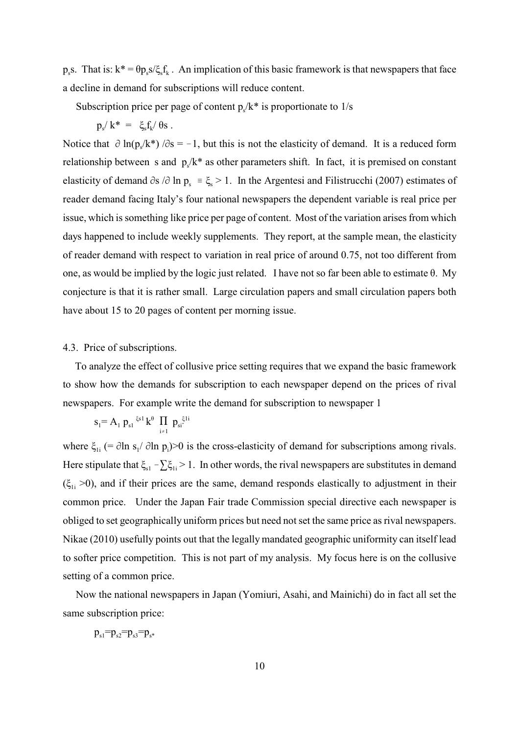$p_s$ s. That is:  $k^* = \theta p_s s / \xi_s f_k$ . An implication of this basic framework is that newspapers that face a decline in demand for subscriptions will reduce content.

Subscription price per page of content  $p_s / k^*$  is proportionate to  $1/s$ 

$$
p_{s'} \, k^* \ = \ \xi_s f_{k'} \, \theta s \ .
$$

Notice that  $\partial \ln(p_s / k^*) / \partial s = -1$ , but this is not the elasticity of demand. It is a reduced form relationship between s and  $p_s / k^*$  as other parameters shift. In fact, it is premised on constant elasticity of demand  $\partial s / \partial \ln p_s = \xi_s > 1$ . In the Argentesi and Filistrucchi (2007) estimates of reader demand facing Italy's four national newspapers the dependent variable is real price per issue, which is something like price per page of content. Most of the variation arises from which days happened to include weekly supplements. They report, at the sample mean, the elasticity of reader demand with respect to variation in real price of around 0.75, not too different from one, as would be implied by the logic just related. I have not so far been able to estimate  $\theta$ . My conjecture is that it is rather small. Large circulation papers and small circulation papers both have about 15 to 20 pages of content per morning issue.

#### 4.3. Price of subscriptions.

 To analyze the effect of collusive price setting requires that we expand the basic framework to show how the demands for subscription to each newspaper depend on the prices of rival newspapers. For example write the demand for subscription to newspaper 1

$$
s_1 = A_1 p_{s1}^{\xi s1} k^{\theta} \prod_{i \neq 1} p_{si}^{\xi 1i}
$$

where  $\xi_{1i}$  (=  $\partial \ln s_1 / \partial \ln p_i$ )>0 is the cross-elasticity of demand for subscriptions among rivals. Here stipulate that  $\xi_{s1} - \sum \xi_{1i} > 1$ . In other words, the rival newspapers are substitutes in demand  $(\xi_{1i} > 0)$ , and if their prices are the same, demand responds elastically to adjustment in their common price. Under the Japan Fair trade Commission special directive each newspaper is obliged to set geographically uniform prices but need not set the same price as rival newspapers. Nikae (2010) usefully points out that the legally mandated geographic uniformity can itself lead to softer price competition. This is not part of my analysis. My focus here is on the collusive setting of a common price.

 Now the national newspapers in Japan (Yomiuri, Asahi, and Mainichi) do in fact all set the same subscription price:

$$
p_{s1}\!\!=\!\!p_{s2}\!\!=\!\!p_{s3}\!\!=\!\!p_{s^*}
$$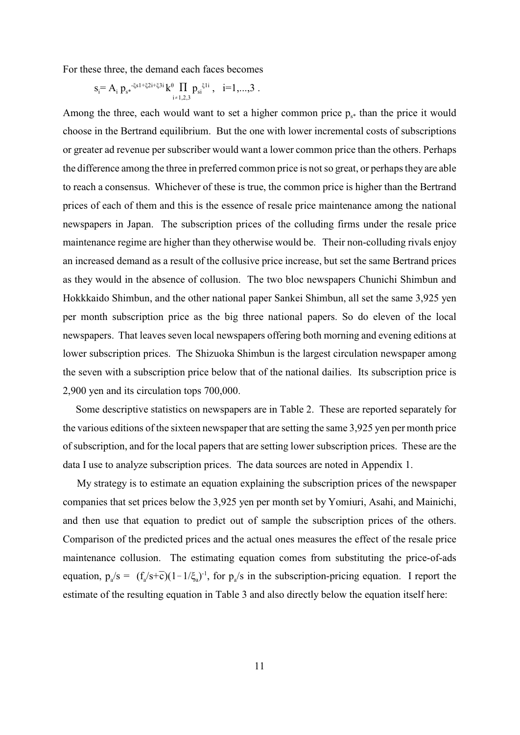For these three, the demand each faces becomes

$$
s_i = A_i \ p_{s^*}^{-\xi s 1 + \xi 2i + \xi 3i} k^{\theta} \prod_{i \neq 1,2,3} p_{s i}^{\ \xi 1i} , \quad i = 1,...,3 .
$$

Among the three, each would want to set a higher common price  $p_{\alpha*}$  than the price it would choose in the Bertrand equilibrium. But the one with lower incremental costs of subscriptions or greater ad revenue per subscriber would want a lower common price than the others. Perhaps the difference among the three in preferred common price is notso great, or perhaps they are able to reach a consensus. Whichever of these is true, the common price is higher than the Bertrand prices of each of them and this is the essence of resale price maintenance among the national newspapers in Japan. The subscription prices of the colluding firms under the resale price maintenance regime are higher than they otherwise would be. Their non-colluding rivals enjoy an increased demand as a result of the collusive price increase, but set the same Bertrand prices as they would in the absence of collusion. The two bloc newspapers Chunichi Shimbun and Hokkkaido Shimbun, and the other national paper Sankei Shimbun, all set the same 3,925 yen per month subscription price as the big three national papers. So do eleven of the local newspapers. That leaves seven local newspapers offering both morning and evening editions at lower subscription prices. The Shizuoka Shimbun is the largest circulation newspaper among the seven with a subscription price below that of the national dailies. Its subscription price is 2,900 yen and its circulation tops 700,000.

 Some descriptive statistics on newspapers are in Table 2. These are reported separately for the various editions of the sixteen newspaper that are setting the same 3,925 yen per month price of subscription, and for the local papers that are setting lower subscription prices. These are the data I use to analyze subscription prices. The data sources are noted in Appendix 1.

 My strategy is to estimate an equation explaining the subscription prices of the newspaper companies that set prices below the 3,925 yen per month set by Yomiuri, Asahi, and Mainichi, and then use that equation to predict out of sample the subscription prices of the others. Comparison of the predicted prices and the actual ones measures the effect of the resale price maintenance collusion. The estimating equation comes from substituting the price-of-ads equation,  $p_a/s = (f_a/s+\overline{c})(1-1/\xi_a)^{-1}$ , for  $p_a/s$  in the subscription-pricing equation. I report the estimate of the resulting equation in Table 3 and also directly below the equation itself here: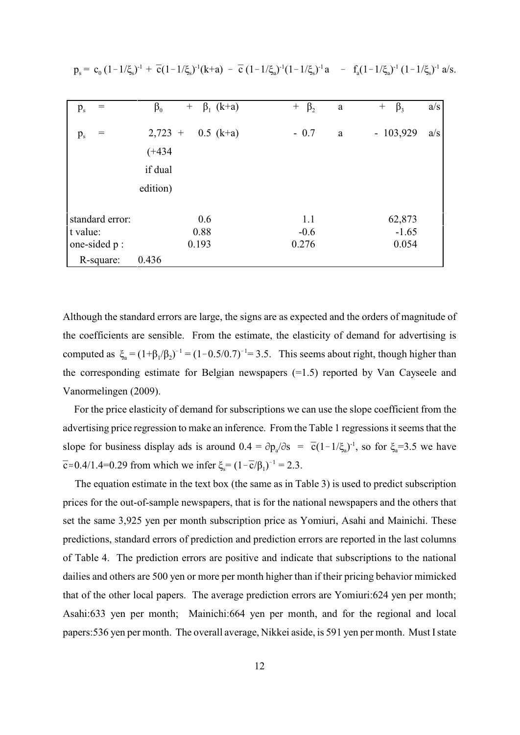| $=$<br>$p_{s}$  | $+$ $\beta_1$ (k+a)<br>$\beta_0$ | $+$ $\beta_2$<br>$\rm{a}$ | $\beta_3$<br>a/s<br>$^{+}$ |
|-----------------|----------------------------------|---------------------------|----------------------------|
| $p_{s}$<br>$=$  | $2,723 +$<br>$0.5$ (k+a)         | $-0.7$<br>a               | $-103,929$<br>a/s          |
|                 | $(+434)$                         |                           |                            |
|                 | if dual                          |                           |                            |
|                 | edition)                         |                           |                            |
| standard error: | 0.6                              | 1.1                       | 62,873                     |
| t value:        | 0.88                             | $-0.6$                    | $-1.65$                    |
| one-sided p:    | 0.193                            | 0.276                     | 0.054                      |
| R-square:       | 0.436                            |                           |                            |

 $p_s = c_0 (1 - 1/\xi_s)^{-1} + \overline{c} (1 - 1/\xi_s)^{-1} (k+a) - \overline{c} (1 - 1/\xi_a)^{-1} (1 - 1/\xi_s)^{-1} a - f_a (1 - 1/\xi_a)^{-1} (1 - 1/\xi_s)^{-1} a/s.$ 

Although the standard errors are large, the signs are as expected and the orders of magnitude of the coefficients are sensible. From the estimate, the elasticity of demand for advertising is computed as  $\xi_a = (1 + \beta_1/\beta_2)^{-1} = (1 - 0.5/0.7)^{-1} = 3.5$ . This seems about right, though higher than the corresponding estimate for Belgian newspapers (=1.5) reported by Van Cayseele and Vanormelingen (2009).

 For the price elasticity of demand for subscriptions we can use the slope coefficient from the advertising price regression to make an inference. From the Table 1 regressions it seems that the slope for business display ads is around  $0.4 = \partial p_a/\partial s = \overline{c}(1-1/\xi_a)^{-1}$ , so for  $\xi_a = 3.5$  we have  $\overline{c} \approx 0.4/1.4 = 0.29$  from which we infer  $\xi_s = (1 - \overline{c}/\beta_1)^{-1} = 2.3$ .

 The equation estimate in the text box (the same as in Table 3) is used to predict subscription prices for the out-of-sample newspapers, that is for the national newspapers and the others that set the same 3,925 yen per month subscription price as Yomiuri, Asahi and Mainichi. These predictions, standard errors of prediction and prediction errors are reported in the last columns of Table 4. The prediction errors are positive and indicate that subscriptions to the national dailies and others are 500 yen or more per month higher than if their pricing behavior mimicked that of the other local papers. The average prediction errors are Yomiuri:624 yen per month; Asahi:633 yen per month; Mainichi:664 yen per month, and for the regional and local papers:536 yen per month. The overall average, Nikkei aside, is 591 yen per month. Must I state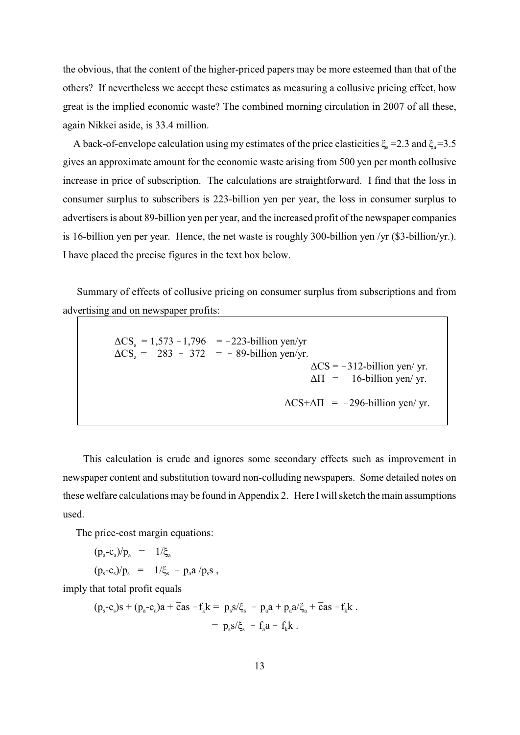the obvious, that the content of the higher-priced papers may be more esteemed than that of the others? If nevertheless we accept these estimates as measuring a collusive pricing effect, how great is the implied economic waste? The combined morning circulation in 2007 of all these, again Nikkei aside, is 33.4 million.

A back-of-envelope calculation using my estimates of the price elasticities  $\xi_s = 2.3$  and  $\xi_a = 3.5$ gives an approximate amount for the economic waste arising from 500 yen per month collusive increase in price of subscription. The calculations are straightforward. I find that the loss in consumer surplus to subscribers is 223-billion yen per year, the loss in consumer surplus to advertisers is about 89-billion yen per year, and the increased profit of the newspaper companies is 16-billion yen per year. Hence, the net waste is roughly 300-billion yen /yr (\$3-billion/yr.). I have placed the precise figures in the text box below.

 Summary of effects of collusive pricing on consumer surplus from subscriptions and from advertising and on newspaper profits:

> $\Delta CS_s = 1{,}573 - 1{,}796 = -223$ -billion yen/yr  $\Delta CS_a = 283 - 372 = -89$ -billion yen/yr.  $\Delta CS = -312$ -billion yen/ yr.  $\Delta \Pi$  = 16-billion yen/ yr.  $\Delta$ CS+ $\Delta$  $\Pi$  = -296-billion yen/ yr.

 This calculation is crude and ignores some secondary effects such as improvement in newspaper content and substitution toward non-colluding newspapers. Some detailed notes on these welfare calculations may be found in Appendix 2. Here Iwill sketch the main assumptions used.

The price-cost margin equations:

$$
(p_a - c_a)/p_a = 1/\xi_a
$$
  
\n $(p_s - c_s)/p_s = 1/\xi_s - p_a a/p_s s$ ,

imply that total profit equals

$$
(p_s - c_s)s + (p_a - c_a)a + \overline{c}as - f_kk = p_s s/\xi_s - p_a a + p_a a/\xi_a + \overline{c}as - f_kk.
$$
  
=  $p_s s/\xi_s - f_a a - f_k k.$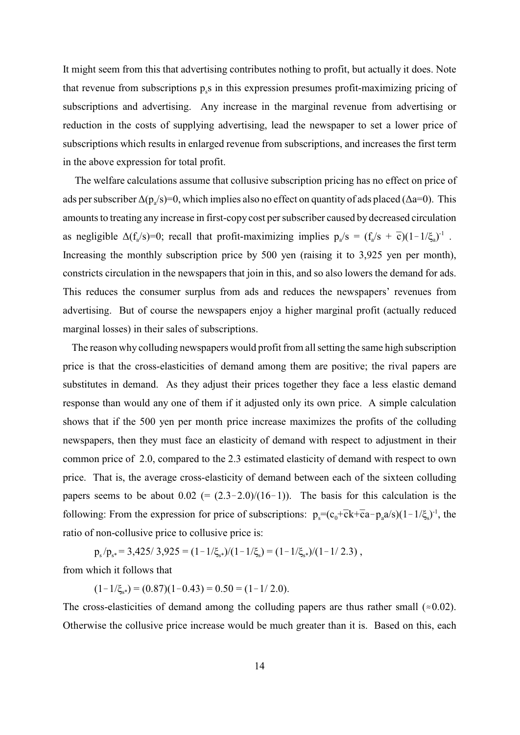It might seem from this that advertising contributes nothing to profit, but actually it does. Note that revenue from subscriptions  $p_s s$  in this expression presumes profit-maximizing pricing of subscriptions and advertising. Any increase in the marginal revenue from advertising or reduction in the costs of supplying advertising, lead the newspaper to set a lower price of subscriptions which results in enlarged revenue from subscriptions, and increases the first term in the above expression for total profit.

 The welfare calculations assume that collusive subscription pricing has no effect on price of ads per subscriber  $\Delta(p_{a}/s)$ =0, which implies also no effect on quantity of ads placed ( $\Delta$ a=0). This amounts to treating any increase in first-copy cost per subscriber caused by decreased circulation as negligible  $\Delta(f_a/s)=0$ ; recall that profit-maximizing implies  $p_a/s = (f_a/s + \overline{c})(1-1/\xi_a)^{-1}$ . Increasing the monthly subscription price by 500 yen (raising it to 3,925 yen per month), constricts circulation in the newspapers that join in this, and so also lowers the demand for ads. This reduces the consumer surplus from ads and reduces the newspapers' revenues from advertising. But of course the newspapers enjoy a higher marginal profit (actually reduced marginal losses) in their sales of subscriptions.

 The reason why colluding newspapers would profit from all setting the same high subscription price is that the cross-elasticities of demand among them are positive; the rival papers are substitutes in demand. As they adjust their prices together they face a less elastic demand response than would any one of them if it adjusted only its own price. A simple calculation shows that if the 500 yen per month price increase maximizes the profits of the colluding newspapers, then they must face an elasticity of demand with respect to adjustment in their common price of 2.0, compared to the 2.3 estimated elasticity of demand with respect to own price. That is, the average cross-elasticity of demand between each of the sixteen colluding papers seems to be about  $0.02$  (=  $(2.3-2.0)/(16-1)$ ). The basis for this calculation is the following: From the expression for price of subscriptions:  $p_s = (c_0 + \overline{c}k + \overline{c}a - p_a a/s)(1 - 1/\xi_s)^{-1}$ , the ratio of non-collusive price to collusive price is:

 $p_s / p_{s*} = 3{,}425/3{,}925 = (1 - 1/\xi_{s*})/(1 - 1/\xi_s) = (1 - 1/\xi_{s*})/(1 - 1/\ 2.3)$ ,

from which it follows that

 $(1-1/\xi_{**}) = (0.87)(1-0.43) = 0.50 = (1-1/2.0).$ 

The cross-elasticities of demand among the colluding papers are thus rather small ( $\approx 0.02$ ). Otherwise the collusive price increase would be much greater than it is. Based on this, each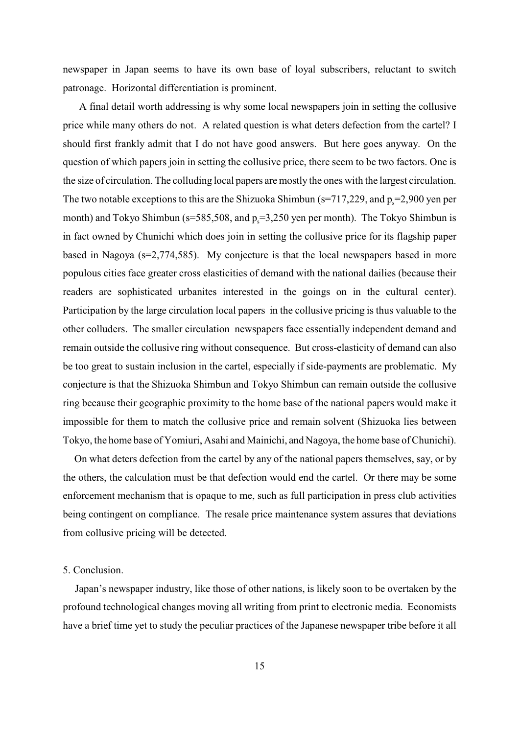newspaper in Japan seems to have its own base of loyal subscribers, reluctant to switch patronage. Horizontal differentiation is prominent.

 A final detail worth addressing is why some local newspapers join in setting the collusive price while many others do not. A related question is what deters defection from the cartel? I should first frankly admit that I do not have good answers. But here goes anyway. On the question of which papers join in setting the collusive price, there seem to be two factors. One is the size of circulation. The colluding local papers are mostly the ones with the largest circulation. The two notable exceptions to this are the Shizuoka Shimbun (s=717,229, and  $p_s$ =2,900 yen per month) and Tokyo Shimbun (s=585,508, and  $p_s$ =3,250 yen per month). The Tokyo Shimbun is in fact owned by Chunichi which does join in setting the collusive price for its flagship paper based in Nagoya ( $s=2,774,585$ ). My conjecture is that the local newspapers based in more populous cities face greater cross elasticities of demand with the national dailies (because their readers are sophisticated urbanites interested in the goings on in the cultural center). Participation by the large circulation local papers in the collusive pricing is thus valuable to the other colluders. The smaller circulation newspapers face essentially independent demand and remain outside the collusive ring without consequence. But cross-elasticity of demand can also be too great to sustain inclusion in the cartel, especially if side-payments are problematic. My conjecture is that the Shizuoka Shimbun and Tokyo Shimbun can remain outside the collusive ring because their geographic proximity to the home base of the national papers would make it impossible for them to match the collusive price and remain solvent (Shizuoka lies between Tokyo, the home base of Yomiuri, Asahi and Mainichi, and Nagoya, the home base of Chunichi).

 On what deters defection from the cartel by any of the national papers themselves, say, or by the others, the calculation must be that defection would end the cartel. Or there may be some enforcement mechanism that is opaque to me, such as full participation in press club activities being contingent on compliance. The resale price maintenance system assures that deviations from collusive pricing will be detected.

### 5. Conclusion.

 Japan's newspaper industry, like those of other nations, is likely soon to be overtaken by the profound technological changes moving all writing from print to electronic media. Economists have a brief time yet to study the peculiar practices of the Japanese newspaper tribe before it all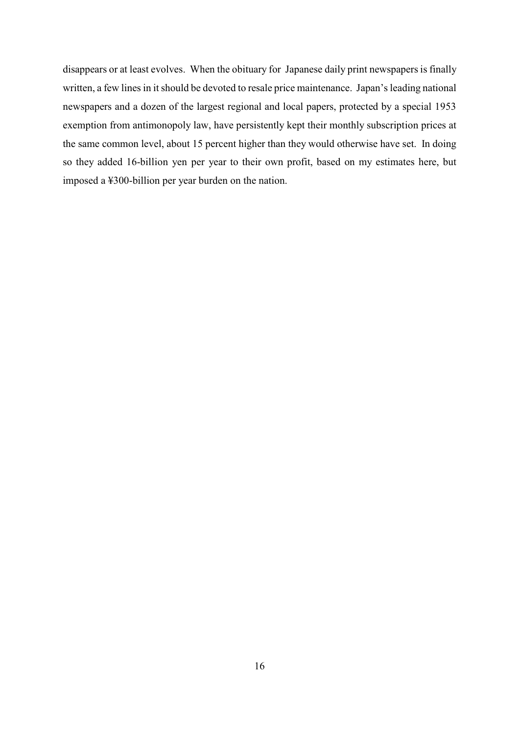disappears or at least evolves. When the obituary for Japanese daily print newspapers is finally written, a few lines in it should be devoted to resale price maintenance. Japan's leading national newspapers and a dozen of the largest regional and local papers, protected by a special 1953 exemption from antimonopoly law, have persistently kept their monthly subscription prices at the same common level, about 15 percent higher than they would otherwise have set. In doing so they added 16-billion yen per year to their own profit, based on my estimates here, but imposed a ¥300-billion per year burden on the nation.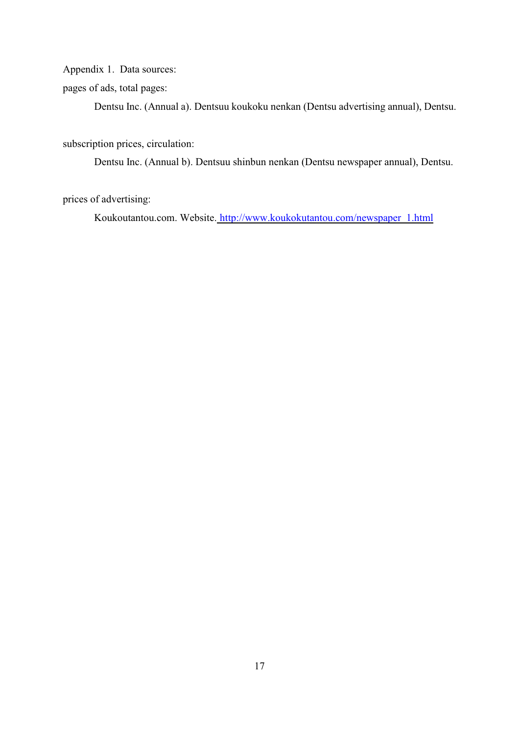Appendix 1. Data sources:

pages of ads, total pages:

Dentsu Inc. (Annual a). Dentsuu koukoku nenkan (Dentsu advertising annual), Dentsu.

subscription prices, circulation:

Dentsu Inc. (Annual b). Dentsuu shinbun nenkan (Dentsu newspaper annual), Dentsu.

prices of advertising:

Koukoutantou.com. Website. [http://www.koukokutantou.com/newspaper\\_1.html](http://www.koukokutantou.com/newspaper_1.html)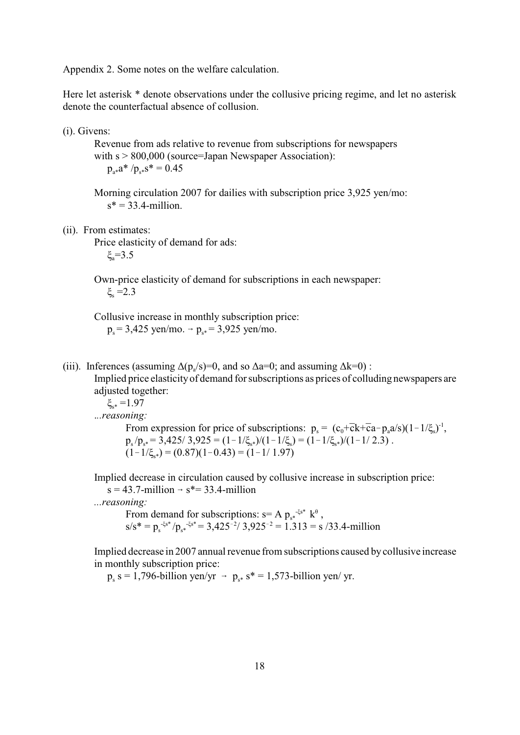Appendix 2. Some notes on the welfare calculation.

Here let asterisk \* denote observations under the collusive pricing regime, and let no asterisk denote the counterfactual absence of collusion.

(i). Givens:

Revenue from ads relative to revenue from subscriptions for newspapers with  $s > 800,000$  (source=Japan Newspaper Association):  $p_{**}a^* / p_{**} s^* = 0.45$ 

Morning circulation 2007 for dailies with subscription price 3,925 yen/mo:  $s^* = 33.4$ -million.

(ii). From estimates:

Price elasticity of demand for ads:

 $\xi$ <sub>a</sub>=3.5

Own-price elasticity of demand for subscriptions in each newspaper:  $\xi_{\rm s} = 2.3$ 

Collusive increase in monthly subscription price:  $p_s = 3,425$  yen/mo.  $\rightarrow p_{s*} = 3,925$  yen/mo.

(iii). Inferences (assuming  $\Delta(p_a/s)=0$ , and so  $\Delta a=0$ ; and assuming  $\Delta k=0$ ): Implied price elasticity of demand for subscriptions as prices of colluding newspapers are adjusted together:

 $\xi_{\rm s*} = 1.97$ 

.*..reasoning:* 

From expression for price of subscriptions:  $p_s = (c_0 + \overline{c}k + \overline{c}a - p_a a/s)(1 - 1/\xi_s)^{-1}$ ,  $p_s / p_{s*} = 3{,}425/3{,}925 = (1 - 1/\xi_{s*})/(1 - 1/\xi_{s}) = (1 - 1/\xi_{s*})/(1 - 1/2.3)$ .  $(1-1/\xi_{\rm s}) = (0.87)(1-0.43) = (1-1/1.97)$ 

Implied decrease in circulation caused by collusive increase in subscription price:  $s = 43.7$ -million  $\rightarrow s^* = 33.4$ -million

*...reasoning:*

From demand for subscriptions:  $s = A p_{s^*}^{\xi_s^*} k^{\theta}$ ,  $s/s^* = p_s^{-\xi s^*}/p_{s^*}^{-\xi s^*} = 3{,}425^{-2}/3{,}925^{-2} = 1.313 = s/33.4$ -million

Implied decrease in 2007 annual revenue from subscriptions caused by collusive increase in monthly subscription price:

 $p_s$  s = 1,796-billion yen/yr  $\rightarrow$   $p_{s*}$  s\* = 1,573-billion yen/ yr.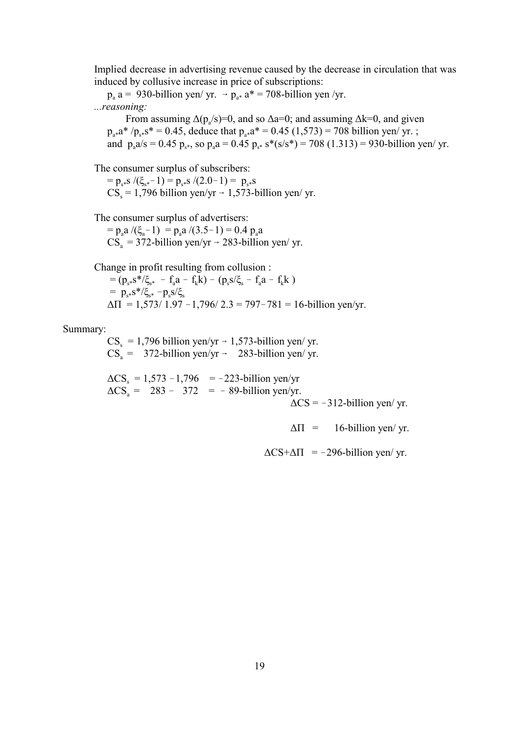Implied decrease in advertising revenue caused by the decrease in circulation that was induced by collusive increase in price of subscriptions:

 $p_a$  a = 930-billion yen/ yr.  $\rightarrow p_{a*}$  a<sup>\*</sup> = 708-billion yen/yr. *...reasoning:*

From assuming  $\Delta(p_a/s)=0$ , and so  $\Delta a=0$ ; and assuming  $\Delta k=0$ , and given  $p_{\alpha*}a^* / p_{\alpha*}s^* = 0.45$ , deduce that  $p_{\alpha*}a^* = 0.45$  (1,573) = 708 billion yen/ yr. ; and  $p_a a/s = 0.45 p_{s*}$ , so  $p_a a = 0.45 p_{s*} s*(s/s*) = 708 (1.313) = 930$ -billion yen/ yr.

The consumer surplus of subscribers:

 $= p_{s}$  s /( $\xi_{s}$  = 1)  $= p_{s}$  s /(2.0 - 1)  $= p_{s}$  s  $CS_s = 1,796$  billion yen/yr  $\rightarrow 1,573$ -billion yen/yr.

The consumer surplus of advertisers:

 $= p_a a / (\xi_a - 1) = p_a a / (3.5 - 1) = 0.4 p_a a$  $CS_a = 372$ -billion yen/yr  $\rightarrow$  283-billion yen/ yr.

Change in profit resulting from collusion :  $= (p_{s^*} s^* / \xi_{s^*} - f_a a - f_k k) - (p_s s / \xi_s - f_a a - f_k k)$  $= p_{s^*} s^* / \xi_{s^*} - p_s s / \xi_s$  $\Delta \Pi = 1,573/1.97 - 1,796/2.3 = 797 - 781 = 16$ -billion yen/yr.

Summary:

 $CS_s = 1,796$  billion yen/yr  $\rightarrow 1,573$ -billion yen/yr.  $CS_a = 372$ -billion yen/yr  $\rightarrow 283$ -billion yen/ yr.

 $\Delta CS_s = 1{,}573 - 1{,}796 = -223$ -billion yen/yr  $\Delta CS_a = 283 - 372 = -89$ -billion yen/yr.  $\Delta CS = -312$ -billion yen/ yr.

 $\Delta \Pi$  = 16-billion yen/ yr.

 $\Delta$ CS+ $\Delta$  $\Pi$  = -296-billion yen/ yr.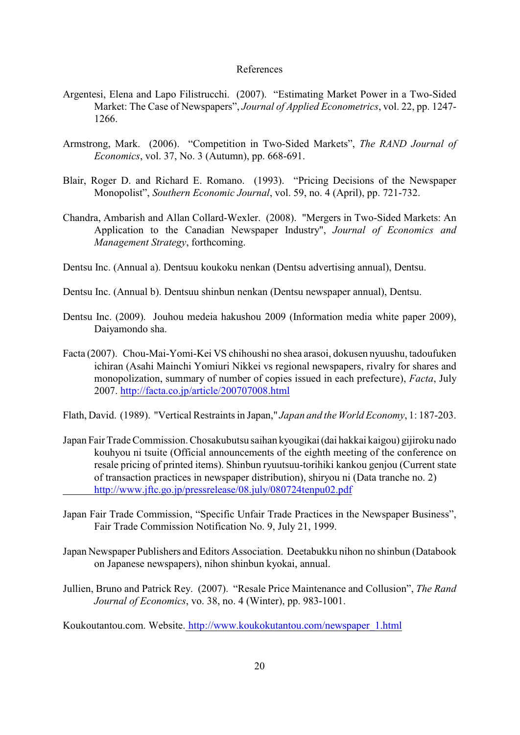## References

- Argentesi, Elena and Lapo Filistrucchi. (2007). "Estimating Market Power in a Two-Sided Market: The Case of Newspapers", *Journal of Applied Econometrics*, vol. 22, pp. 1247- 1266.
- Armstrong, Mark. (2006). "Competition in Two-Sided Markets", *The RAND Journal of Economics*, vol. 37, No. 3 (Autumn), pp. 668-691.
- Blair, Roger D. and Richard E. Romano. (1993). "Pricing Decisions of the Newspaper Monopolist", *Southern Economic Journal*, vol. 59, no. 4 (April), pp. 721-732.
- Chandra, Ambarish and Allan Collard-Wexler. (2008). "Mergers in Two-Sided Markets: An Application to the Canadian Newspaper Industry", *Journal of Economics and Management Strategy*, forthcoming.
- Dentsu Inc. (Annual a). Dentsuu koukoku nenkan (Dentsu advertising annual), Dentsu.
- Dentsu Inc. (Annual b). Dentsuu shinbun nenkan (Dentsu newspaper annual), Dentsu.
- Dentsu Inc. (2009). Jouhou medeia hakushou 2009 (Information media white paper 2009), Daiyamondo sha.
- Facta (2007). Chou-Mai-Yomi-Kei VS chihoushi no shea arasoi, dokusen nyuushu, tadoufuken ichiran (Asahi Mainchi Yomiuri Nikkei vs regional newspapers, rivalry for shares and monopolization, summary of number of copies issued in each prefecture), *Facta*, July 2007. <http://facta.co.jp/article/200707008.html>
- Flath, David. (1989). "Vertical Restraints in Japan," *Japan and the World Economy*, 1: 187-203.
- Japan Fair Trade Commission. Chosakubutsu saihan kyougikai (dai hakkai kaigou) gijiroku nado kouhyou ni tsuite (Official announcements of the eighth meeting of the conference on resale pricing of printed items). Shinbun ryuutsuu-torihiki kankou genjou (Current state of transaction practices in newspaper distribution), shiryou ni (Data tranche no. 2) <http://www.jftc.go.jp/pressrelease/08.july/080724tenpu02.pdf>
- Japan Fair Trade Commission, "Specific Unfair Trade Practices in the Newspaper Business", Fair Trade Commission Notification No. 9, July 21, 1999.
- Japan Newspaper Publishers and Editors Association. Deetabukku nihon no shinbun (Databook on Japanese newspapers), nihon shinbun kyokai, annual.
- Jullien, Bruno and Patrick Rey. (2007). "Resale Price Maintenance and Collusion", *The Rand Journal of Economics*, vo. 38, no. 4 (Winter), pp. 983-1001.

Koukoutantou.com. Website. [http://www.koukokutantou.com/newspaper\\_1.html](http://www.koukokutantou.com/newspaper_1.html)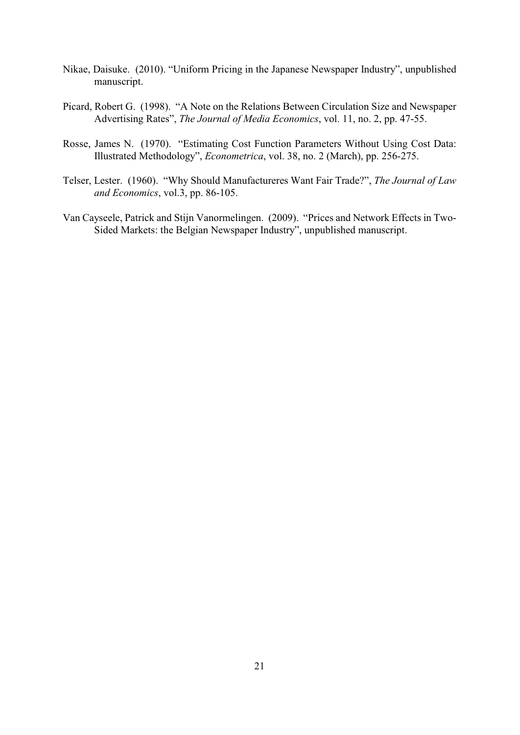- Nikae, Daisuke. (2010). "Uniform Pricing in the Japanese Newspaper Industry", unpublished manuscript.
- Picard, Robert G. (1998). "A Note on the Relations Between Circulation Size and Newspaper Advertising Rates", *The Journal of Media Economics*, vol. 11, no. 2, pp. 47-55.
- Rosse, James N. (1970). "Estimating Cost Function Parameters Without Using Cost Data: Illustrated Methodology", *Econometrica*, vol. 38, no. 2 (March), pp. 256-275.
- Telser, Lester. (1960). "Why Should Manufactureres Want Fair Trade?", *The Journal of Law and Economics*, vol.3, pp. 86-105.
- Van Cayseele, Patrick and Stijn Vanormelingen. (2009). "Prices and Network Effects in Two-Sided Markets: the Belgian Newspaper Industry", unpublished manuscript.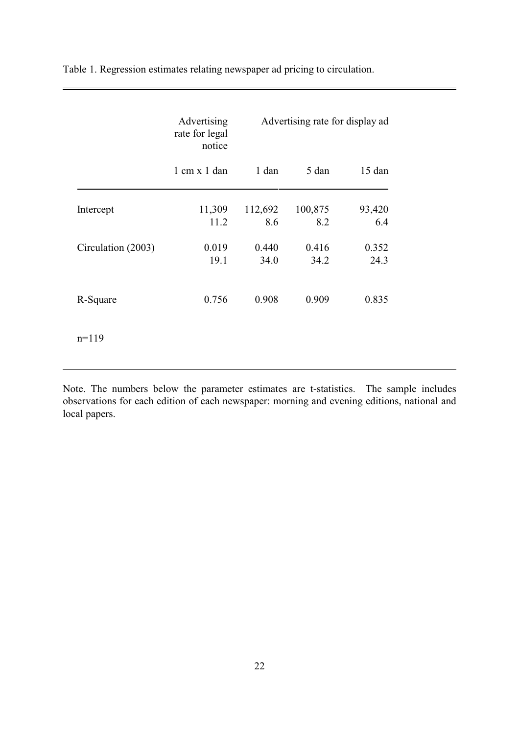|                    | Advertising<br>rate for legal<br>notice |                |                | Advertising rate for display ad |  |  |
|--------------------|-----------------------------------------|----------------|----------------|---------------------------------|--|--|
|                    | $1 \text{ cm} \times 1 \text{ dan}$     | 1 dan          | 5 dan          | 15 dan                          |  |  |
| Intercept          | 11,309<br>11.2                          | 112,692<br>8.6 | 100,875<br>8.2 | 93,420<br>6.4                   |  |  |
| Circulation (2003) | 0.019<br>19.1                           | 0.440<br>34.0  | 0.416<br>34.2  | 0.352<br>24.3                   |  |  |
| R-Square           | 0.756                                   | 0.908          | 0.909          | 0.835                           |  |  |
| $n=119$            |                                         |                |                |                                 |  |  |

Table 1. Regression estimates relating newspaper ad pricing to circulation.

Note. The numbers below the parameter estimates are t-statistics. The sample includes observations for each edition of each newspaper: morning and evening editions, national and local papers.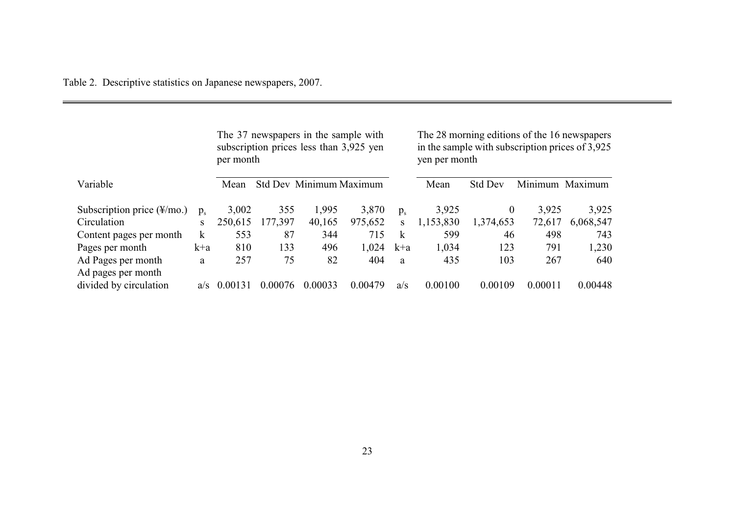|  |  |  | Table 2. Descriptive statistics on Japanese newspapers, 2007. |
|--|--|--|---------------------------------------------------------------|
|--|--|--|---------------------------------------------------------------|

|                                         |         | per month | The 37 newspapers in the sample with<br>subscription prices less than 3,925 yen |                                |         |         | yen per month | The 28 morning editions of the 16 newspapers<br>in the sample with subscription prices of 3,925 |         |           |
|-----------------------------------------|---------|-----------|---------------------------------------------------------------------------------|--------------------------------|---------|---------|---------------|-------------------------------------------------------------------------------------------------|---------|-----------|
| Variable                                |         | Mean      |                                                                                 | <b>Std Dev Minimum Maximum</b> |         |         | Mean          | <b>Std Dev</b>                                                                                  | Minimum | Maximum   |
| Subscription price $(\frac{1}{2}$ /mo.) | $p_{s}$ | 3,002     | 355                                                                             | 1,995                          | 3,870   | $p_{s}$ | 3,925         | $\mathbf{0}$                                                                                    | 3,925   | 3,925     |
| Circulation                             | S       | 250,615   | 177,397                                                                         | 40,165                         | 975,652 | S       | 1,153,830     | 1,374,653                                                                                       | 72,617  | 6,068,547 |
| Content pages per month                 | k       | 553       | 87                                                                              | 344                            | 715     | k       | 599           | 46                                                                                              | 498     | 743       |
| Pages per month                         | $k+a$   | 810       | 133                                                                             | 496                            | 1,024   | k+a     | 1,034         | 123                                                                                             | 791     | 1,230     |
| Ad Pages per month                      | a       | 257       | 75                                                                              | 82                             | 404     | a       | 435           | 103                                                                                             | 267     | 640       |
| Ad pages per month                      |         |           |                                                                                 |                                |         |         |               |                                                                                                 |         |           |
| divided by circulation                  | a/s     | 0.00131   | 0.00076                                                                         | 0.00033                        | 0.00479 | a/s     | 0.00100       | 0.00109                                                                                         | 0.00011 | 0.00448   |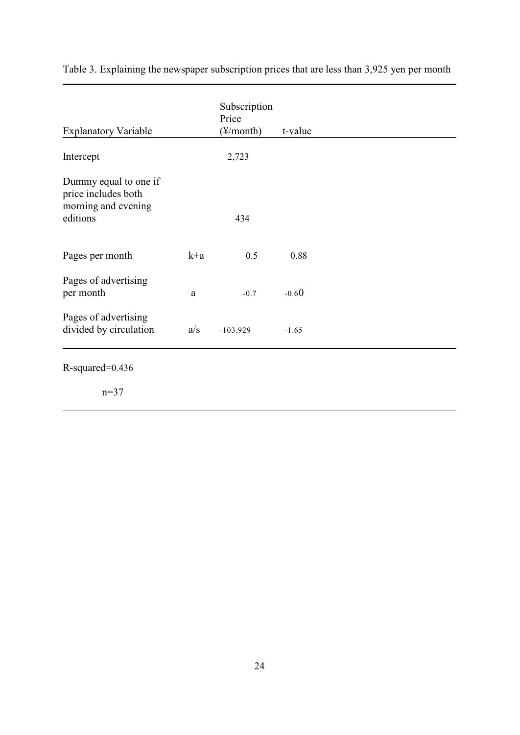|                                                                     |       | Subscription<br>Price |         |
|---------------------------------------------------------------------|-------|-----------------------|---------|
| <b>Explanatory Variable</b>                                         |       | $(\frac{1}{2}$ month) | t-value |
| Intercept                                                           |       | 2,723                 |         |
| Dummy equal to one if<br>price includes both<br>morning and evening |       |                       |         |
| editions                                                            |       | 434                   |         |
| Pages per month                                                     | $k+a$ | 0.5                   | 0.88    |
| Pages of advertising<br>per month                                   | a     | $-0.7$                | $-0.60$ |
| Pages of advertising<br>divided by circulation                      | a/s   | $-103,929$            | $-1.65$ |
| $R$ -squared=0.436                                                  |       |                       |         |
| $n=37$                                                              |       |                       |         |

Table 3. Explaining the newspaper subscription prices that are less than 3,925 yen per month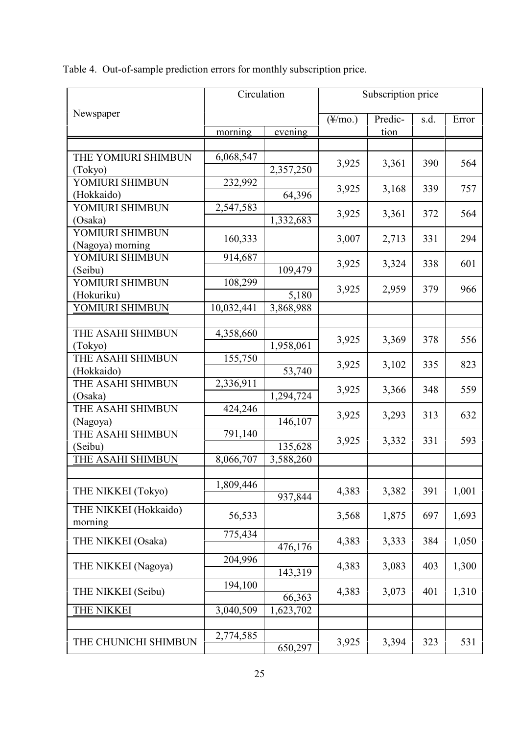Table 4. Out-of-sample prediction errors for monthly subscription price.

|                       | Circulation |           | Subscription price   |         |      |       |
|-----------------------|-------------|-----------|----------------------|---------|------|-------|
| Newspaper             |             |           |                      | Predic- | s.d. | Error |
|                       | morning     | evening   | $(\frac{1}{2}$ /mo.) | tion    |      |       |
|                       |             |           |                      |         |      |       |
| THE YOMIURI SHIMBUN   | 6,068,547   |           |                      |         | 390  |       |
| (Tokyo)               |             | 2,357,250 | 3,925                | 3,361   |      | 564   |
| YOMIURI SHIMBUN       | 232,992     |           | 3,925                | 3,168   | 339  | 757   |
| (Hokkaido)            |             | 64,396    |                      |         |      |       |
| YOMIURI SHIMBUN       | 2,547,583   |           | 3,925                | 3,361   | 372  | 564   |
| (Osaka)               |             | 1,332,683 |                      |         |      |       |
| YOMIURI SHIMBUN       | 160,333     |           | 3,007                | 2,713   | 331  | 294   |
| (Nagoya) morning      |             |           |                      |         |      |       |
| YOMIURI SHIMBUN       | 914,687     |           | 3,925                | 3,324   | 338  | 601   |
| (Seibu)               |             | 109,479   |                      |         |      |       |
| YOMIURI SHIMBUN       | 108,299     |           | 3,925                | 2,959   | 379  | 966   |
| (Hokuriku)            |             | 5,180     |                      |         |      |       |
| YOMIURI SHIMBUN       | 10,032,441  | 3,868,988 |                      |         |      |       |
|                       |             |           |                      |         |      |       |
| THE ASAHI SHIMBUN     | 4,358,660   |           | 3,925                | 3,369   | 378  | 556   |
| (Tokyo)               |             | 1,958,061 |                      |         |      |       |
| THE ASAHI SHIMBUN     | 155,750     |           | 3,925                | 3,102   | 335  | 823   |
| (Hokkaido)            |             | 53,740    |                      |         |      |       |
| THE ASAHI SHIMBUN     | 2,336,911   |           | 3,925                | 3,366   | 348  | 559   |
| (Osaka)               |             | 1,294,724 |                      |         |      |       |
| THE ASAHI SHIMBUN     | 424,246     |           | 3,925                | 3,293   | 313  | 632   |
| (Nagoya)              |             | 146,107   |                      |         |      |       |
| THE ASAHI SHIMBUN     | 791,140     |           | 3,925                | 3,332   | 331  | 593   |
| (Seibu)               |             | 135,628   |                      |         |      |       |
| THE ASAHI SHIMBUN     | 8,066,707   | 3,588,260 |                      |         |      |       |
|                       |             |           |                      |         |      |       |
| THE NIKKEI (Tokyo)    | 1,809,446   | 937,844   | 4,383                | 3,382   | 391  | 1,001 |
| THE NIKKEI (Hokkaido) |             |           |                      |         |      |       |
| morning               | 56,533      |           | 3,568                | 1,875   | 697  | 1,693 |
|                       | 775,434     |           |                      |         |      |       |
| THE NIKKEI (Osaka)    |             | 476,176   | 4,383                | 3,333   | 384  | 1,050 |
|                       | 204,996     |           |                      | 3,083   |      |       |
| THE NIKKEI (Nagoya)   |             | 143,319   | 4,383                |         | 403  | 1,300 |
|                       | 194,100     |           |                      | 3,073   | 401  |       |
| THE NIKKEI (Seibu)    |             | 66,363    | 4,383                |         |      | 1,310 |
| THE NIKKEI            | 3,040,509   | 1,623,702 |                      |         |      |       |
|                       |             |           |                      |         |      |       |
|                       | 2,774,585   |           |                      |         |      |       |
| THE CHUNICHI SHIMBUN  |             | 650,297   | 3,925                | 3,394   | 323  | 531   |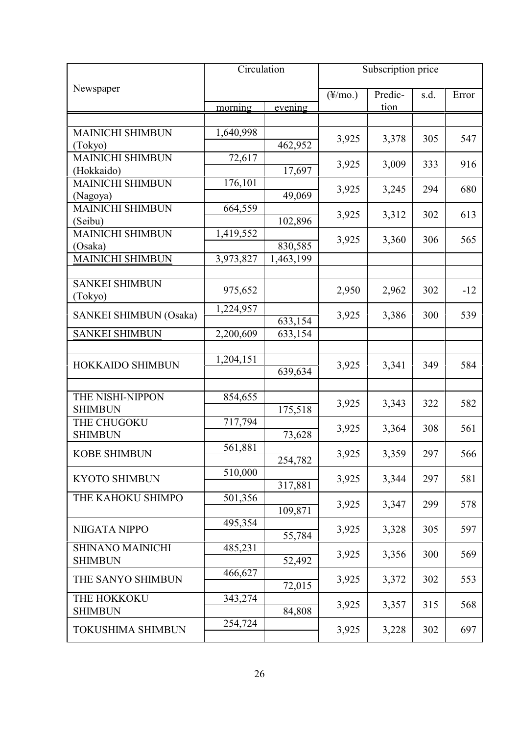|                               | Circulation |           | Subscription price   |                 |     |       |
|-------------------------------|-------------|-----------|----------------------|-----------------|-----|-------|
| Newspaper                     |             |           | $(\frac{1}{2}$ /mo.) | Predic-<br>s.d. |     | Error |
|                               | morning     | evening   |                      | <u>tion</u>     |     |       |
|                               |             |           |                      |                 |     |       |
| <b>MAINICHI SHIMBUN</b>       | 1,640,998   |           |                      |                 |     |       |
| (Tokyo)                       |             | 462,952   | 3,925                | 3,378           | 305 | 547   |
| <b>MAINICHI SHIMBUN</b>       | 72,617      |           | 3,925                | 3,009           | 333 | 916   |
| (Hokkaido)                    |             | 17,697    |                      |                 |     |       |
| <b>MAINICHI SHIMBUN</b>       | 176,101     |           | 3,925                | 3,245           | 294 | 680   |
| (Nagoya)                      |             | 49,069    |                      |                 |     |       |
| <b>MAINICHI SHIMBUN</b>       | 664,559     |           | 3,925                | 3,312           | 302 | 613   |
| (Seibu)                       |             | 102,896   |                      |                 |     |       |
| <b>MAINICHI SHIMBUN</b>       | 1,419,552   |           | 3,925                | 3,360           | 306 | 565   |
| (Osaka)                       |             | 830,585   |                      |                 |     |       |
| <b>MAINICHI SHIMBUN</b>       | 3,973,827   | 1,463,199 |                      |                 |     |       |
| <b>SANKEI SHIMBUN</b>         |             |           |                      |                 |     |       |
|                               | 975,652     |           | 2,950                | 2,962           | 302 | $-12$ |
| (Tokyo)                       | 1,224,957   |           |                      |                 |     |       |
| <b>SANKEI SHIMBUN (Osaka)</b> |             | 633,154   | 3,925                | 3,386           | 300 | 539   |
| <b>SANKEI SHIMBUN</b>         | 2,200,609   | 633,154   |                      |                 |     |       |
|                               |             |           |                      |                 |     |       |
|                               | 1,204,151   |           |                      |                 |     |       |
| <b>HOKKAIDO SHIMBUN</b>       |             | 639,634   | 3,925                | 3,341           | 349 | 584   |
|                               |             |           |                      |                 |     |       |
| THE NISHI-NIPPON              | 854,655     |           |                      |                 |     |       |
| <b>SHIMBUN</b>                |             | 175,518   | 3,925                | 3,343           | 322 | 582   |
| THE CHUGOKU                   | 717,794     |           | 3,925                | 3,364           | 308 | 561   |
| <b>SHIMBUN</b>                |             | 73,628    |                      |                 |     |       |
| <b>KOBE SHIMBUN</b>           | 561,881     |           | 3,925                | 3,359           | 297 | 566   |
|                               |             | 254,782   |                      |                 |     |       |
| <b>KYOTO SHIMBUN</b>          | 510,000     |           | 3,925                | 3,344           | 297 | 581   |
|                               |             | 317,881   |                      |                 |     |       |
| THE KAHOKU SHIMPO             | 501,356     |           | 3,925                | 3,347           | 299 | 578   |
|                               |             | 109,871   |                      |                 |     |       |
| NIIGATA NIPPO                 | 495,354     |           | 3,925                | 3,328           | 305 | 597   |
|                               |             | 55,784    |                      |                 |     |       |
| <b>SHINANO MAINICHI</b>       | 485,231     |           | 3,925                | 3,356           | 300 | 569   |
| <b>SHIMBUN</b>                | 466,627     | 52,492    |                      |                 |     |       |
| THE SANYO SHIMBUN             |             | 72,015    | 3,925                | 3,372           | 302 | 553   |
| THE HOKKOKU                   | 343,274     |           |                      |                 |     |       |
| <b>SHIMBUN</b>                |             | 84,808    | 3,925                | 3,357           | 315 | 568   |
|                               | 254,724     |           |                      |                 |     |       |
| <b>TOKUSHIMA SHIMBUN</b>      |             |           | 3,925                | 3,228           | 302 | 697   |